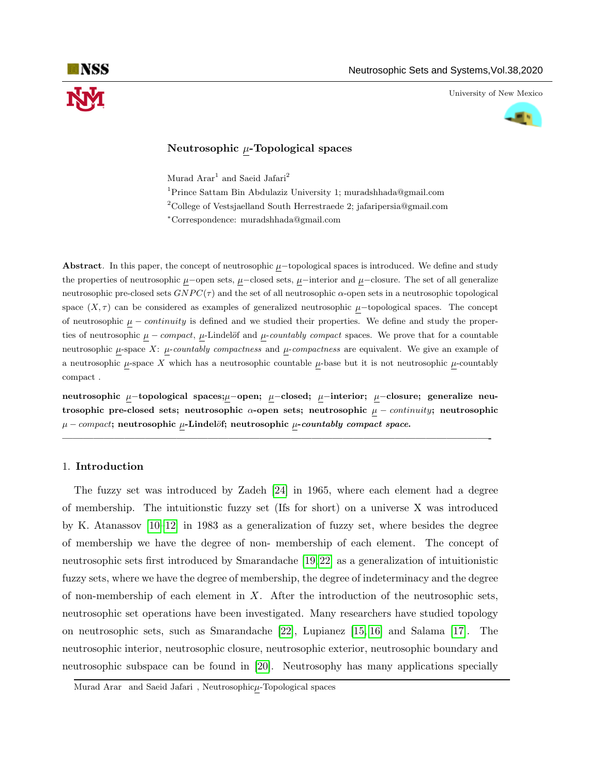University of New Mexico



# Neutrosophic  $\mu$ -Topological spaces

Murad  $\text{A} \text{r} \text{a} \text{r}^1$  and Saeid Jafari<sup>2</sup>

<sup>1</sup>Prince Sattam Bin Abdulaziz University 1; muradshhada@gmail.com  $2^2$ College of Vestsjaelland South Herrestraede 2; jafaripersia@gmail.com <sup>∗</sup>Correspondence: muradshhada@gmail.com

Abstract. In this paper, the concept of neutrosophic  $\mu$ −topological spaces is introduced. We define and study the properties of neutrosophic  $\mu$ −open sets,  $\mu$ −closed sets,  $\mu$ −interior and  $\mu$ −closure. The set of all generalize neutrosophic pre-closed sets  $GNPC(τ)$  and the set of all neutrosophic α-open sets in a neutrosophic topological space  $(X, \tau)$  can be considered as examples of generalized neutrosophic  $\mu$ −topological spaces. The concept of neutrosophic  $\mu$  – *continuity* is defined and we studied their properties. We define and study the properties of neutrosophic  $\mu$  – compact,  $\mu$ -Lindelöf and  $\mu$ -countably compact spaces. We prove that for a countable neutrosophic  $\mu$ -space X:  $\mu$ -countably compactness and  $\mu$ -compactness are equivalent. We give an example of a neutrosophic  $\mu$ -space X which has a neutrosophic countable  $\mu$ -base but it is not neutrosophic  $\mu$ -countably compact .

neutrosophic µ−topological spaces;µ−open; µ−closed; µ−interior; µ−closure; generalize neutrosophic pre-closed sets; neutrosophic  $\alpha$ -open sets; neutrosophic  $\mu$  – *continuity*; neutrosophic  $\mu$  – compact; neutrosophic  $\mu$ -Lindelöf; neutrosophic  $\mu$ -countably compact space.

—————————————————————————————————————————-

## 1. Introduction

The fuzzy set was introduced by Zadeh [\[24\]](#page-15-0) in 1965, where each element had a degree of membership. The intuitionstic fuzzy set (Ifs for short) on a universe X was introduced by K. Atanassov [\[10–](#page-14-0)[12\]](#page-14-1) in 1983 as a generalization of fuzzy set, where besides the degree of membership we have the degree of non- membership of each element. The concept of neutrosophic sets first introduced by Smarandache [\[19,](#page-15-1) [22\]](#page-15-2) as a generalization of intuitionistic fuzzy sets, where we have the degree of membership, the degree of indeterminacy and the degree of non-membership of each element in  $X$ . After the introduction of the neutrosophic sets, neutrosophic set operations have been investigated. Many researchers have studied topology on neutrosophic sets, such as Smarandache [\[22\]](#page-15-2), Lupianez [\[15,](#page-14-2) [16\]](#page-14-3) and Salama [\[17\]](#page-14-4). The neutrosophic interior, neutrosophic closure, neutrosophic exterior, neutrosophic boundary and neutrosophic subspace can be found in [\[20\]](#page-15-3). Neutrosophy has many applications specially

Murad Arar and Saeid Jafari, Neutrosophicµ-Topological spaces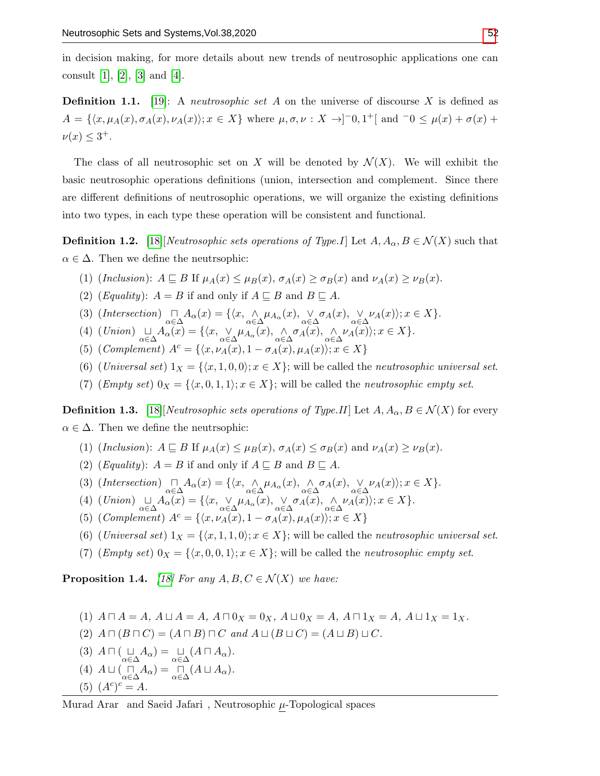in decision making, for more details about new trends of neutrosophic applications one can consult [\[1\]](#page-14-5), [\[2\]](#page-14-6), [\[3\]](#page-14-7) and [\[4\]](#page-14-8).

**Definition 1.1.** [\[19\]](#page-15-1): A *neutrosophic set A* on the universe of discourse X is defined as  $A = \{ \langle x, \mu_A(x), \sigma_A(x), \nu_A(x) \rangle; x \in X \}$  where  $\mu, \sigma, \nu : X \to ]-0,1^+[$  and  $-0 \leq \mu(x) + \sigma(x) +$  $\nu(x) \leq 3^+$ .

The class of all neutrosophic set on X will be denoted by  $\mathcal{N}(X)$ . We will exhibit the basic neutrosophic operations definitions (union, intersection and complement. Since there are different definitions of neutrosophic operations, we will organize the existing definitions into two types, in each type these operation will be consistent and functional.

**Definition 1.2.** [\[18\]](#page-15-5)[Neutrosophic sets operations of Type.I] Let  $A, A_\alpha, B \in \mathcal{N}(X)$  such that  $\alpha \in \Delta$ . Then we define the neutrophic:

- (1) (Inclusion):  $A \sqsubseteq B$  If  $\mu_A(x) \leq \mu_B(x)$ ,  $\sigma_A(x) \geq \sigma_B(x)$  and  $\nu_A(x) \geq \nu_B(x)$ .
- (2) (*Equality*):  $A = B$  if and only if  $A \sqsubseteq B$  and  $B \sqsubseteq A$ .
- (3)  $(Intersection) \bigcap_{\alpha \in \Delta} A_{\alpha}(x) = \{ \langle x, \underset{\alpha \in \Delta}{\wedge} \mu_{A_{\alpha}}(x), \underset{\alpha \in \Delta}{\vee} \sigma_{A}(x), \underset{\alpha \in \Delta}{\vee} \nu_{A}(x) \rangle; x \in X \}.$
- (4)  $(Union) \underset{\alpha \in \Delta}{\sqcup} A_{\alpha}(x) = \{ \langle x, \underset{\alpha \in \Delta}{\vee} \mu_{A_{\alpha}}(x), \underset{\alpha \in \Delta}{\wedge} \sigma_{A}(x), \underset{\alpha \in \Delta}{\wedge} \nu_{A}(x) \rangle; x \in X \}.$
- (5) (Complement)  $A^c = \{ \langle x, \nu_A(x), 1 \sigma_A(x), \mu_A(x) \rangle; x \in X \}$
- (6) (Universal set)  $1_X = \{(x, 1, 0, 0); x \in X\}$ ; will be called the neutrosophic universal set.
- (7) (*Empty set*)  $0_X = \{\langle x, 0, 1, 1 \rangle; x \in X\}$ ; will be called the *neutrosophic empty set*.

**Definition 1.3.** [\[18\]](#page-15-5)[Neutrosophic sets operations of Type.II] Let  $A, A_\alpha, B \in \mathcal{N}(X)$  for every  $\alpha \in \Delta$ . Then we define the neutrophic:

- (1) (Inclusion):  $A \subseteq B$  If  $\mu_A(x) \leq \mu_B(x)$ ,  $\sigma_A(x) \leq \sigma_B(x)$  and  $\nu_A(x) \geq \nu_B(x)$ .
- (2) (*Equality*):  $A = B$  if and only if  $A \sqsubseteq B$  and  $B \sqsubseteq A$ .
- (3)  $(Intersection) \bigcap_{\alpha \in \Delta} A_{\alpha}(x) = \{ \langle x, \underset{\alpha \in \Delta}{\wedge} \mu_{A_{\alpha}}(x), \underset{\alpha \in \Delta}{\wedge} \sigma_{A}(x), \underset{\alpha \in \Delta}{\vee} \nu_{A}(x) \rangle; x \in X \}.$
- (4)  $(Union) \underset{\alpha \in \Delta}{\sqcup} A_{\alpha}(x) = \{ \langle x, \underset{\alpha \in \Delta}{\vee} \mu_{A_{\alpha}}(x), \underset{\alpha \in \Delta}{\vee} \sigma_{A}(x), \underset{\alpha \in \Delta}{\wedge} \nu_{A}(x) \rangle; x \in X \}.$
- (5) (Complement)  $A^c = \{ \langle x, \nu_A(x), 1 \sigma_A(x), \mu_A(x) \rangle; x \in X \}$
- (6) (Universal set)  $1_X = \{(x, 1, 1, 0); x \in X\}$ ; will be called the neutrosophic universal set.
- (7) (Empty set)  $0_X = \{\langle x, 0, 0, 1 \rangle; x \in X\}$ ; will be called the neutrosophic empty set.

**Proposition 1.4.** [\[18\]](#page-15-5) For any  $A, B, C \in \mathcal{N}(X)$  we have:

- (1)  $A \sqcap A = A$ ,  $A \sqcup A = A$ ,  $A \sqcap 0_X = 0_X$ ,  $A \sqcup 0_X = A$ ,  $A \sqcap 1_X = A$ ,  $A \sqcup 1_X = 1_X$ .
- (2)  $A \sqcap (B \sqcap C) = (A \sqcap B) \sqcap C$  and  $A \sqcup (B \sqcup C) = (A \sqcup B) \sqcup C$ .
- (3)  $A \sqcap (\sqcup_{\alpha \in \Delta} A_{\alpha}) = \sqcup_{\alpha \in \Delta} (A \sqcap A_{\alpha}).$
- (4)  $A \sqcup (\bigcap_{\alpha \in \Delta} A_{\alpha}) = \bigcap_{\alpha \in \Delta} (A \sqcup A_{\alpha}).$
- (5)  $(A^c)^c = A$ .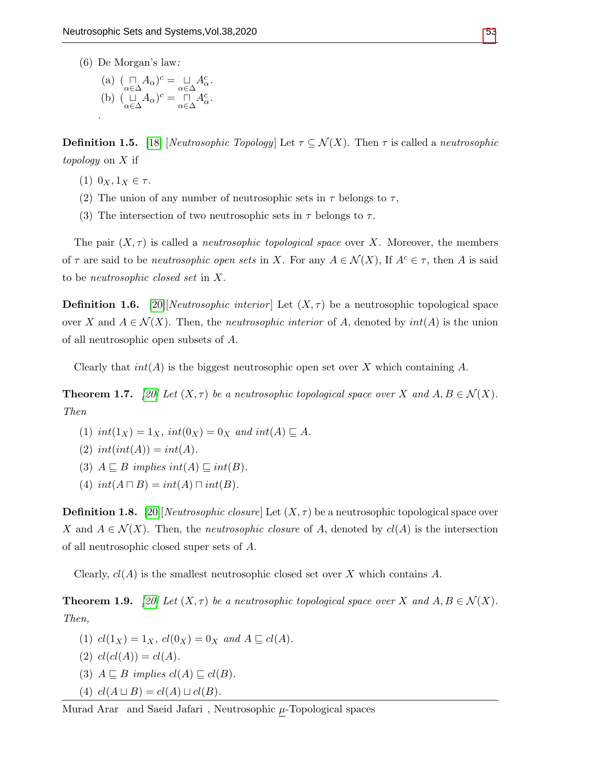(6) De Morgan's law:

(a) 
$$
(\bigcap_{\alpha \in \Delta} A_{\alpha})^c = \bigcup_{\alpha \in \Delta} A_{\alpha}^c
$$
.  
\n(b)  $(\bigcup_{\alpha \in \Delta} A_{\alpha})^c = \bigcap_{\alpha \in \Delta} A_{\alpha}^c$ .

**Definition 1.5.** [\[18\]](#page-15-5) [Neutrosophic Topology] Let  $\tau \subseteq \mathcal{N}(X)$ . Then  $\tau$  is called a neutrosophic topology on X if

- (1)  $0_X, 1_X \in \tau$ .
- (2) The union of any number of neutrosophic sets in  $\tau$  belongs to  $\tau$ ,
- (3) The intersection of two neutrosophic sets in  $\tau$  belongs to  $\tau$ .

The pair  $(X, \tau)$  is called a *neutrosophic topological space* over X. Moreover, the members of  $\tau$  are said to be *neutrosophic open sets* in X. For any  $A \in \mathcal{N}(X)$ , If  $A^c \in \tau$ , then A is said to be neutrosophic closed set in X.

**Definition 1.6.** [\[20\]](#page-15-3)[Neutrosophic interior] Let  $(X, \tau)$  be a neutrosophic topological space over X and  $A \in \mathcal{N}(X)$ . Then, the neutrosophic interior of A, denoted by  $int(A)$  is the union of all neutrosophic open subsets of A.

Clearly that  $int(A)$  is the biggest neutrosophic open set over X which containing A.

**Theorem 1.7.** [\[20\]](#page-15-3) Let  $(X, \tau)$  be a neutrosophic topological space over X and  $A, B \in \mathcal{N}(X)$ . Then

- (1)  $int(1_X) = 1_X$ ,  $int(0_X) = 0_X$  and  $int(A) \sqsubseteq A$ .
- (2)  $int(int(A)) = int(A)$ .
- (3)  $A \sqsubseteq B$  implies  $int(A) \sqsubseteq int(B)$ .
- (4)  $int(A \sqcap B) = int(A) \sqcap int(B)$ .

**Definition 1.8.** [\[20\]](#page-15-3)[*Neutrosophic closure*] Let  $(X, \tau)$  be a neutrosophic topological space over X and  $A \in \mathcal{N}(X)$ . Then, the *neutrosophic closure* of A, denoted by  $cl(A)$  is the intersection of all neutrosophic closed super sets of A.

Clearly,  $cl(A)$  is the smallest neutrosophic closed set over X which contains A.

**Theorem 1.9.** [\[20\]](#page-15-3) Let  $(X, \tau)$  be a neutrosophic topological space over X and  $A, B \in \mathcal{N}(X)$ . Then,

- (1)  $cl(1_X) = 1_X$ ,  $cl(0_X) = 0_X$  and  $A \sqsubseteq cl(A)$ .
- (2)  $cl(cl(A)) = cl(A)$ .
- (3)  $A \sqsubseteq B$  implies  $cl(A) \sqsubseteq cl(B)$ .
- (4)  $cl(A \sqcup B) = cl(A) \sqcup cl(B).$

Murad Arar $\,$  and Saeid Jafari $\,$  , Neutrosophic  $\underline{\mu}$  -Topological spaces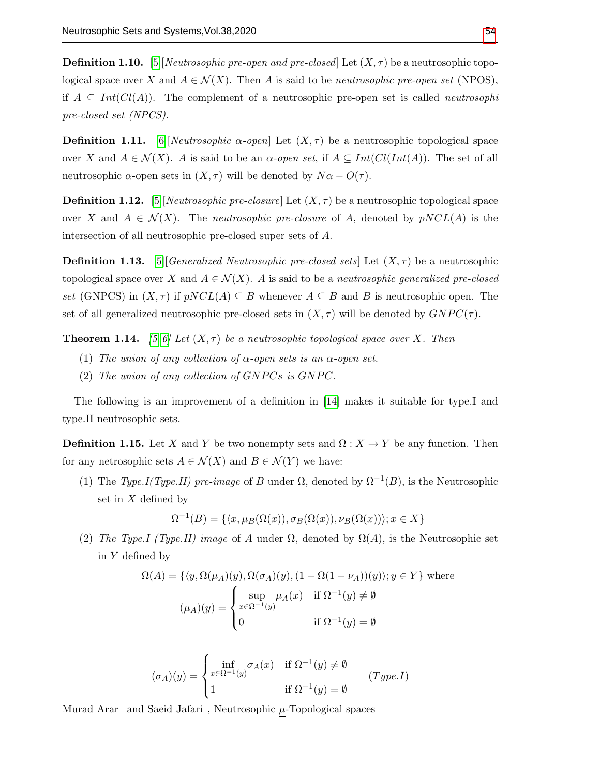**Definition 1.10.** [\[5\]](#page-14-9)[Neutrosophic pre-open and pre-closed] Let  $(X, \tau)$  be a neutrosophic topological space over X and  $A \in \mathcal{N}(X)$ . Then A is said to be *neutrosophic pre-open set* (NPOS), if  $A \subseteq Int(Cl(A))$ . The complement of a neutrosophic pre-open set is called *neutrosophi* pre-closed set (NPCS).

**Definition 1.11.** [\[6\]](#page-14-10)[Neutrosophic  $\alpha$ -open] Let  $(X, \tau)$  be a neutrosophic topological space over X and  $A \in \mathcal{N}(X)$ . A is said to be an  $\alpha$ -open set, if  $A \subseteq Int(ClInt(A))$ . The set of all neutrosophic  $\alpha$ -open sets in  $(X, \tau)$  will be denoted by  $N\alpha - O(\tau)$ .

**Definition 1.12.** [\[5\]](#page-14-9)[Neutrosophic pre-closure] Let  $(X, \tau)$  be a neutrosophic topological space over X and  $A \in \mathcal{N}(X)$ . The *neutrosophic pre-closure* of A, denoted by  $pNCL(A)$  is the intersection of all neutrosophic pre-closed super sets of A.

**Definition 1.13.** [\[5\]](#page-14-9) Generalized Neutrosophic pre-closed sets] Let  $(X, \tau)$  be a neutrosophic topological space over X and  $A \in \mathcal{N}(X)$ . A is said to be a *neutrosophic generalized pre-closed* set (GNPCS) in  $(X, \tau)$  if  $pNCL(A) \subseteq B$  whenever  $A \subseteq B$  and B is neutrosophic open. The set of all generalized neutrosophic pre-closed sets in  $(X, \tau)$  will be denoted by  $GNPC(\tau)$ .

<span id="page-3-0"></span>**Theorem 1.14.** [\[5,](#page-14-9) [6\]](#page-14-10) Let  $(X, \tau)$  be a neutrosophic topological space over X. Then

- (1) The union of any collection of  $\alpha$ -open sets is an  $\alpha$ -open set.
- (2) The union of any collection of  $GNPCs$  is  $GNPC$ .

The following is an improvement of a definition in [\[14\]](#page-14-11) makes it suitable for type.I and type.II neutrosophic sets.

**Definition 1.15.** Let X and Y be two nonempty sets and  $\Omega: X \to Y$  be any function. Then for any netrosophic sets  $A \in \mathcal{N}(X)$  and  $B \in \mathcal{N}(Y)$  we have:

(1) The Type.I(Type.II) pre-image of B under  $\Omega$ , denoted by  $\Omega^{-1}(B)$ , is the Neutrosophic set in X defined by

 $\Omega^{-1}(B) = \{\langle x, \mu_B(\Omega(x)), \sigma_B(\Omega(x)), \nu_B(\Omega(x))\rangle; x \in X\}$ 

(2) The Type.I (Type.II) image of A under  $\Omega$ , denoted by  $\Omega(A)$ , is the Neutrosophic set in Y defined by

$$
\Omega(A) = \{ \langle y, \Omega(\mu_A)(y), \Omega(\sigma_A)(y), (1 - \Omega(1 - \nu_A))(y) \rangle; y \in Y \} \text{ where}
$$

$$
(\mu_A)(y) = \begin{cases} \sup_{x \in \Omega^{-1}(y)} \mu_A(x) & \text{if } \Omega^{-1}(y) \neq \emptyset \\ 0 & \text{if } \Omega^{-1}(y) = \emptyset \end{cases}
$$

$$
(\sigma_A)(y) = \begin{cases} \inf_{x \in \Omega^{-1}(y)} \sigma_A(x) & \text{if } \Omega^{-1}(y) \neq \emptyset \\ 1 & \text{if } \Omega^{-1}(y) = \emptyset \end{cases} (Type. I)
$$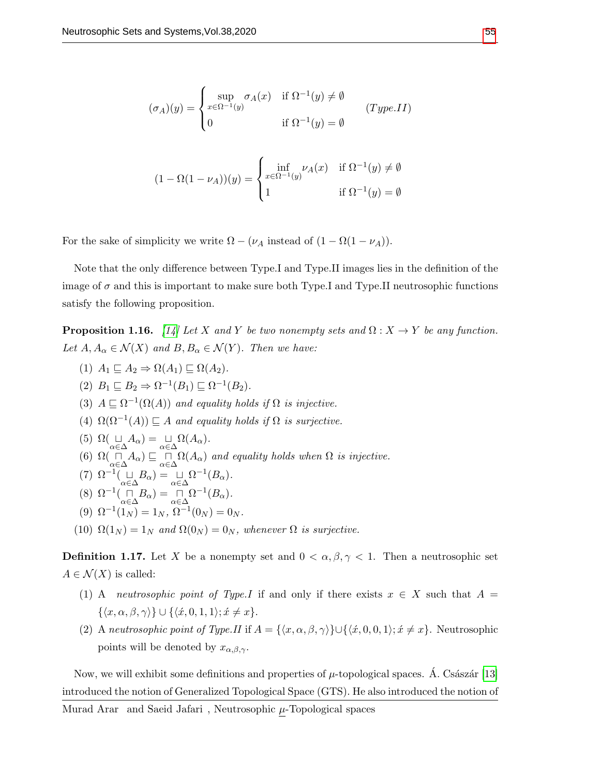$$
(\sigma_A)(y) = \begin{cases} \sup_{x \in \Omega^{-1}(y)} \sigma_A(x) & \text{if } \Omega^{-1}(y) \neq \emptyset \\ 0 & \text{if } \Omega^{-1}(y) = \emptyset \end{cases}
$$
 (Type.II)

$$
(1 - \Omega(1 - \nu_A))(y) = \begin{cases} \inf_{x \in \Omega^{-1}(y)} \nu_A(x) & \text{if } \Omega^{-1}(y) \neq \emptyset \\ 1 & \text{if } \Omega^{-1}(y) = \emptyset \end{cases}
$$

For the sake of simplicity we write  $\Omega - (\nu_A \text{ instead of } (1 - \Omega(1 - \nu_A)).$ 

Note that the only difference between Type.I and Type.II images lies in the definition of the image of  $\sigma$  and this is important to make sure both Type.I and Type.II neutrosophic functions satisfy the following proposition.

<span id="page-4-0"></span>**Proposition 1.16.** [\[14\]](#page-14-11) Let X and Y be two nonempty sets and  $\Omega: X \to Y$  be any function. Let  $A, A_{\alpha} \in \mathcal{N}(X)$  and  $B, B_{\alpha} \in \mathcal{N}(Y)$ . Then we have:

(1)  $A_1 \sqsubset A_2 \Rightarrow \Omega(A_1) \sqsubset \Omega(A_2)$ .

(2)  $B_1 \sqsubseteq B_2 \Rightarrow \Omega^{-1}(B_1) \sqsubseteq \Omega^{-1}(B_2).$ 

- (3)  $A \subseteq \Omega^{-1}(\Omega(A))$  and equality holds if  $\Omega$  is injective.
- (4)  $\Omega(\Omega^{-1}(A)) \sqsubseteq A$  and equality holds if  $\Omega$  is surjective.
- (5)  $\Omega(\underset{\alpha \in \Delta}{\sqcup} A_{\alpha}) = \underset{\alpha \in \Delta}{\sqcup} \Omega(A_{\alpha}).$
- (6)  $\Omega(\bigcap_{\alpha \in \Delta} A_{\alpha}) \sqsubseteq \bigcap_{\alpha \in \Delta} \Omega(A_{\alpha})$  and equality holds when  $\Omega$  is injective.
- (7)  $\Omega^{-1}(\underset{\alpha\in\Delta}{\sqcup}B_{\alpha})=\underset{\alpha\in\Delta}{\sqcup}\Omega^{-1}(B_{\alpha}).$
- (8)  $\Omega^{-1}(\bigcap_{\alpha \in \Delta} B_{\alpha}) = \bigcap_{\alpha \in \Delta} \Omega^{-1}(B_{\alpha}).$
- (9)  $\Omega^{-1}(1_N) = 1_N$ ,  $\Omega^{-1}(0_N) = 0_N$ .
- (10)  $\Omega(1_N) = 1_N$  and  $\Omega(0_N) = 0_N$ , whenever  $\Omega$  is surjective.

**Definition 1.17.** Let X be a nonempty set and  $0 < \alpha, \beta, \gamma < 1$ . Then a neutrosophic set  $A \in \mathcal{N}(X)$  is called:

- (1) A neutrosophic point of Type.I if and only if there exists  $x \in X$  such that  $A =$  $\{\langle x, \alpha, \beta, \gamma \rangle\} \cup \{\langle \hat{x}, 0, 1, 1 \rangle; \hat{x} \neq x\}.$
- (2) A neutrosophic point of Type.II if  $A = \{\langle x, \alpha, \beta, \gamma \rangle\} \cup \{\langle \dot{x}, 0, 0, 1 \rangle; \dot{x} \neq x\}.$  Neutrosophic points will be denoted by  $x_{\alpha,\beta,\gamma}$ .

Now, we will exhibit some definitions and properties of  $\mu$ -topological spaces. A. Császár [\[13\]](#page-14-12) introduced the notion of Generalized Topological Space (GTS). He also introduced the notion of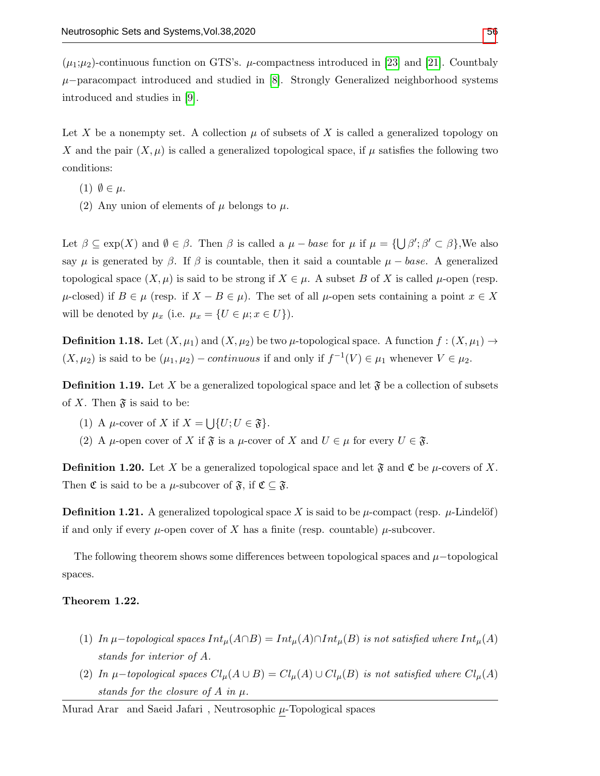$(\mu_1;\mu_2)$ -continuous function on GTS's.  $\mu$ -compactness introduced in [\[23\]](#page-15-6) and [\[21\]](#page-15-7). Countbaly  $\mu$ −paracompact introduced and studied in [\[8\]](#page-14-13). Strongly Generalized neighborhood systems introduced and studies in [\[9\]](#page-14-14).

Let X be a nonempty set. A collection  $\mu$  of subsets of X is called a generalized topology on X and the pair  $(X, \mu)$  is called a generalized topological space, if  $\mu$  satisfies the following two conditions:

- (1)  $\emptyset \in \mu$ .
- (2) Any union of elements of  $\mu$  belongs to  $\mu$ .

Let  $\beta \subseteq \exp(X)$  and  $\emptyset \in \beta$ . Then  $\beta$  is called a  $\mu - base$  for  $\mu$  if  $\mu = {\bigcup \beta' ; \beta' \subset \beta \big}$ , We also say  $\mu$  is generated by  $\beta$ . If  $\beta$  is countable, then it said a countable  $\mu - base$ . A generalized topological space  $(X, \mu)$  is said to be strong if  $X \in \mu$ . A subset B of X is called  $\mu$ -open (resp.  $\mu$ -closed) if  $B \in \mu$  (resp. if  $X - B \in \mu$ ). The set of all  $\mu$ -open sets containing a point  $x \in X$ will be denoted by  $\mu_x$  (i.e.  $\mu_x = \{U \in \mu; x \in U\}$ ).

**Definition 1.18.** Let  $(X, \mu_1)$  and  $(X, \mu_2)$  be two  $\mu$ -topological space. A function  $f : (X, \mu_1) \rightarrow$  $(X, \mu_2)$  is said to be  $(\mu_1, \mu_2)$  – continuous if and only if  $f^{-1}(V) \in \mu_1$  whenever  $V \in \mu_2$ .

**Definition 1.19.** Let X be a generalized topological space and let  $\mathfrak{F}$  be a collection of subsets of X. Then  $\mathfrak{F}$  is said to be:

- (1) A  $\mu$ -cover of X if  $X = \bigcup \{U; U \in \mathfrak{F}\}.$
- (2) A  $\mu$ -open cover of X if  $\mathfrak{F}$  is a  $\mu$ -cover of X and  $U \in \mu$  for every  $U \in \mathfrak{F}$ .

**Definition 1.20.** Let X be a generalized topological space and let  $\mathfrak{F}$  and  $\mathfrak{C}$  be  $\mu$ -covers of X. Then  $\mathfrak C$  is said to be a  $\mu$ -subcover of  $\mathfrak F$ , if  $\mathfrak C \subseteq \mathfrak F$ .

**Definition 1.21.** A generalized topological space X is said to be  $\mu$ -compact (resp.  $\mu$ -Lindelöf) if and only if every  $\mu$ -open cover of X has a finite (resp. countable)  $\mu$ -subcover.

The following theorem shows some differences between topological spaces and  $\mu$ −topological spaces.

## Theorem 1.22.

- (1) In  $\mu$ –topological spaces  $Int_{\mu}(A \cap B) = Int_{\mu}(A) \cap Int_{\mu}(B)$  is not satisfied where  $Int_{\mu}(A)$ stands for interior of A.
- (2) In  $\mu$ -topological spaces  $Cl_{\mu}(A \cup B) = Cl_{\mu}(A) \cup Cl_{\mu}(B)$  is not satisfied where  $Cl_{\mu}(A)$ stands for the closure of  $A$  in  $\mu$ .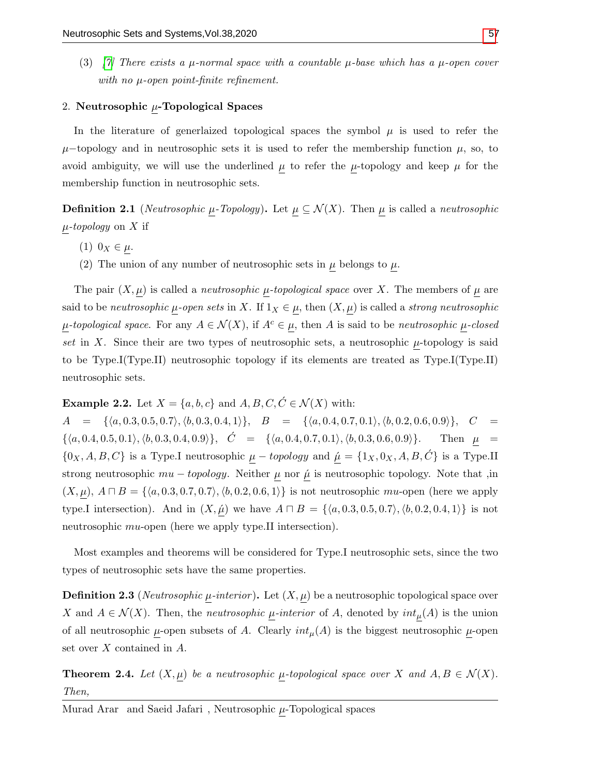(3) [\[7\]](#page-14-15) There exists a  $\mu$ -normal space with a countable  $\mu$ -base which has a  $\mu$ -open cover with no  $\mu$ -open point-finite refinement.

## 2. Neutrosophic  $\mu$ -Topological Spaces

In the literature of generiaized topological spaces the symbol  $\mu$  is used to refer the  $\mu$ –topology and in neutrosophic sets it is used to refer the membership function  $\mu$ , so, to avoid ambiguity, we will use the underlined  $\mu$  to refer the  $\mu$ -topology and keep  $\mu$  for the membership function in neutrosophic sets.

**Definition 2.1** (*Neutrosophic*  $\mu$ *-Topology*). Let  $\mu \subseteq \mathcal{N}(X)$ . Then  $\mu$  is called a *neutrosophic*  $\mu$ -topology on X if

- (1)  $0_X \in \mu$ .
- (2) The union of any number of neutrosophic sets in  $\mu$  belongs to  $\mu$ .

The pair  $(X, \mu)$  is called a *neutrosophic*  $\mu$ -topological space over X. The members of  $\mu$  are said to be neutrosophic  $\mu$ -open sets in X. If  $1_X \in \mu$ , then  $(X, \mu)$  is called a strong neutrosophic  $\mu$ -topological space. For any  $A \in \mathcal{N}(X)$ , if  $A^c \in \mu$ , then A is said to be neutrosophic  $\mu$ -closed set in X. Since their are two types of neutrosophic sets, a neutrosophic  $\mu$ -topology is said to be Type.I(Type.II) neutrosophic topology if its elements are treated as Type.I(Type.II) neutrosophic sets.

<span id="page-6-0"></span>**Example 2.2.** Let  $X = \{a, b, c\}$  and  $A, B, C, C \in \mathcal{N}(X)$  with:

 $A = \{ \langle a, 0.3, 0.5, 0.7 \rangle, \langle b, 0.3, 0.4, 1 \rangle \}, B = \{ \langle a, 0.4, 0.7, 0.1 \rangle, \langle b, 0.2, 0.6, 0.9 \rangle \}, C =$  $\{\langle a, 0.4, 0.5, 0.1\rangle, \langle b, 0.3, 0.4, 0.9\rangle\}, \quad \acute{C} = \{\langle a, 0.4, 0.7, 0.1\rangle, \langle b, 0.3, 0.6, 0.9\rangle\}.$  Then  $\mu$  $\{0_X, A, B, C\}$  is a Type.I neutrosophic  $\underline{\mu}$  – topology and  $\underline{\acute{\mu}} = \{1_X, 0_X, A, B, \acute{C}\}$  is a Type.II strong neutrosophic  $mu - topology$ . Neither  $\mu$  nor  $\hat{\mu}$  is neutrosophic topology. Note that ,in  $(X, \mu)$ ,  $A \sqcap B = \{\langle a, 0.3, 0.7, 0.7 \rangle, \langle b, 0.2, 0.6, 1 \rangle\}$  is not neutrosophic mu-open (here we apply type.I intersection). And in  $(X, \hat{\mu})$  we have  $A \sqcap B = \{\langle a, 0.3, 0.5, 0.7 \rangle, \langle b, 0.2, 0.4, 1 \rangle\}$  is not neutrosophic *mu*-open (here we apply type.II intersection).

Most examples and theorems will be considered for Type.I neutrosophic sets, since the two types of neutrosophic sets have the same properties.

**Definition 2.3** (*Neutrosophic*  $\mu$ *-interior*). Let  $(X, \mu)$  be a neutrosophic topological space over X and  $A \in \mathcal{N}(X)$ . Then, the *neutrosophic*  $\mu$ -interior of A, denoted by  $int_{\mu}(A)$  is the union of all neutrosophic  $\mu$ -open subsets of A. Clearly  $int_{\mu}(A)$  is the biggest neutrosophic  $\mu$ -open set over X contained in A.

**Theorem 2.4.** Let  $(X, \mu)$  be a neutrosophic  $\mu$ -topological space over X and  $A, B \in \mathcal{N}(X)$ . Then,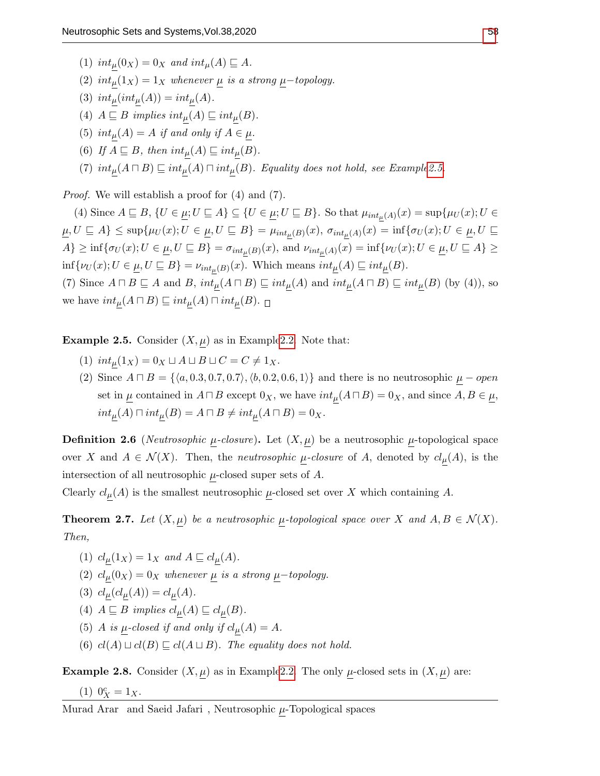- (1)  $int_{\mu}(0_X) = 0_X$  and  $int_{\mu}(A) \sqsubseteq A$ .
- (2)  $int_{\mu}(1_X) = 1_X$  whenever  $\mu$  is a strong  $\mu$ -topology.
- (3)  $int_{\mu}(int_{\mu}(A)) = int_{\mu}(A)$ .
- (4)  $A \sqsubseteq B$  implies  $int_{\mu}(A) \sqsubseteq int_{\mu}(B)$ .
- (5)  $int_{\mu}(A) = A$  if and only if  $A \in \mu$ .
- (6) If  $A \subseteq B$ , then  $int_{\mu}(A) \subseteq int_{\mu}(B)$ .
- (7)  $int_{\mu}(A \sqcap B) \sqsubseteq int_{\mu}(A) \sqcap int_{\mu}(B)$ . Equality does not hold, see Exampl[e2.5.](#page-7-0)

Proof. We will establish a proof for (4) and (7).

(4) Since  $A \sqsubseteq B$ ,  $\{U \in \underline{\mu}; U \sqsubseteq A\} \subseteq \{U \in \underline{\mu}; U \sqsubseteq B\}$ . So that  $\mu_{int_{\mu}(A)}(x) = \sup \{\mu_U(x); U \in A\}$  $\underline{\mu}, U \sqsubseteq A \} \leq \sup \{ \mu_U(x); U \in \underline{\mu}, U \sqsubseteq B \} = \mu_{int_{\mu}(B)}(x), \ \sigma_{int_{\mu}(A)}(x) = \inf \{ \sigma_U(x); U \in \underline{\mu}, U \sqsubseteq B \}$  $A\} \geq \inf\{\sigma_U(x); U \in \underline{\mu}, U \subseteq B\} = \sigma_{int_{\mu}(B)}(x)$ , and  $\nu_{int_{\mu}(A)}(x) = \inf\{\nu_U(x); U \in \underline{\mu}, U \subseteq A\} \ge$  $\inf \{\nu_U(x); U \in \underline{\mu}, U \subseteq B\} = \nu_{int_{\mu}(B)}(x)$ . Which means  $int_{\underline{\mu}}(A) \subseteq int_{\underline{\mu}}(B)$ .

(7) Since  $A \sqcap B \sqsubseteq A$  and  $B$ ,  $int_{\mu}(A \sqcap B) \sqsubseteq int_{\mu}(A)$  and  $int_{\mu}(A \sqcap B) \sqsubseteq int_{\mu}(B)$  (by (4)), so we have  $int_{\mu}(A \sqcap B) \sqsubseteq int_{\mu}(A) \sqcap int_{\mu}(B)$ .

<span id="page-7-0"></span>**Example 2.5.** Consider  $(X, \mu)$  as in Example 2.2. Note that:

- (1)  $int_{\mu}(1_X) = 0_X \sqcup A \sqcup B \sqcup C = C \neq 1_X.$
- (2) Since  $A \sqcap B = \{\langle a, 0.3, 0.7, 0.7 \rangle, \langle b, 0.2, 0.6, 1 \rangle\}$  and there is no neutrosophic  $\mu$  open set in  $\underline{\mu}$  contained in  $A \sqcap B$  except  $0_X$ , we have  $int_{\mu}(A \sqcap B) = 0_X$ , and since  $A, B \in \underline{\mu}$ ,  $int_{\mu}(A) \sqcap int_{\mu}(B) = A \sqcap B \neq int_{\mu}(A \sqcap B) = 0_X.$

**Definition 2.6** (*Neutrosophic*  $\mu$ *-closure*). Let  $(X, \mu)$  be a neutrosophic  $\mu$ -topological space over X and  $A \in \mathcal{N}(X)$ . Then, the *neutrosophic*  $\mu$ -closure of A, denoted by  $cl_{\mu}(A)$ , is the intersection of all neutrosophic  $\mu$ -closed super sets of  $A$ .

Clearly  $cl_{\mu}(A)$  is the smallest neutrosophic  $\mu$ -closed set over X which containing A.

**Theorem 2.7.** Let  $(X, \mu)$  be a neutrosophic  $\mu$ -topological space over X and  $A, B \in \mathcal{N}(X)$ . Then,

- (1)  $cl_{\mu}(1_X) = 1_X$  and  $A \sqsubseteq cl_{\mu}(A)$ .
- (2)  $cl_{\mu}(0_X) = 0_X$  whenever  $\mu$  is a strong  $\mu$ -topology.
- (3)  $cl_{\mu}(cl_{\mu}(A)) = cl_{\mu}(A)$ .
- (4)  $A \sqsubseteq B$  implies  $cl_{\underline{\mu}}(A) \sqsubseteq cl_{\underline{\mu}}(B)$ .
- (5) A is  $\mu$ -closed if and only if  $cl_{\mu}(A) = A$ .
- (6)  $cl(A) \sqcup cl(B) \sqsubseteq cl(A \sqcup B)$ . The equality does not hold.

**Example 2.8.** Consider  $(X, \underline{\mu})$  as in Example 2.2. The only  $\underline{\mu}$ -closed sets in  $(X, \underline{\mu})$  are:

(1) 
$$
0_X^c = 1_X
$$
.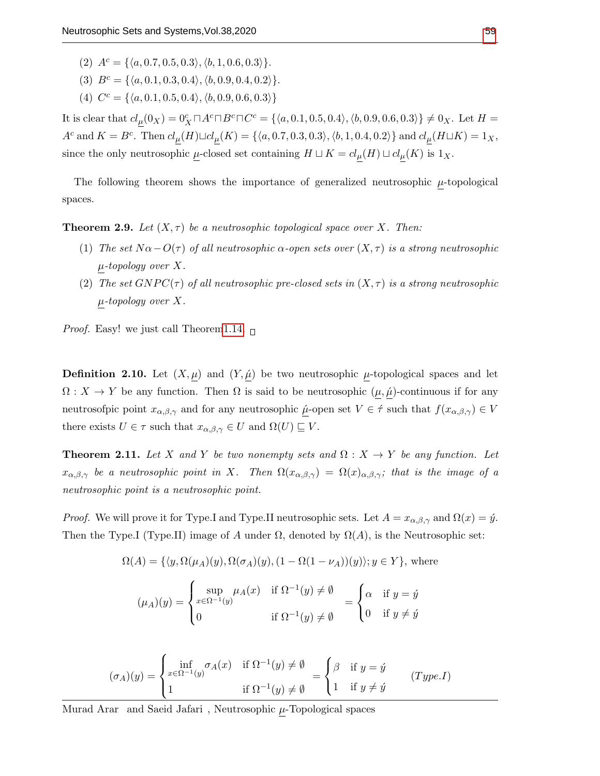- (2)  $A^c = \{\langle a, 0.7, 0.5, 0.3 \rangle, \langle b, 1, 0.6, 0.3 \rangle\}.$
- (3)  $B^c = \{\langle a, 0.1, 0.3, 0.4 \rangle, \langle b, 0.9, 0.4, 0.2 \rangle\}.$
- (4)  $C^c = \{\langle a, 0.1, 0.5, 0.4 \rangle, \langle b, 0.9, 0.6, 0.3 \rangle\}$

It is clear that  $cl_{\mu}(0_X) = 0_X^c \Box A^c \Box B^c \Box C^c = \{ \langle a, 0.1, 0.5, 0.4 \rangle, \langle b, 0.9, 0.6, 0.3 \rangle \} \neq 0_X$ . Let  $H =$  $A^c$  and  $K = B^c$ . Then  $cl_{\mu}(H) \sqcup cl_{\mu}(K) = \{\langle a, 0.7, 0.3, 0.3 \rangle, \langle b, 1, 0.4, 0.2 \rangle\}$  and  $cl_{\mu}(H \sqcup K) = 1_X$ , since the only neutrosophic  $\mu$ -closed set containing  $H \sqcup K = cl_{\mu}(H) \sqcup cl_{\mu}(K)$  is  $1_X$ .

The following theorem shows the importance of generalized neutrosophic  $\mu$ -topological spaces.

<span id="page-8-0"></span>**Theorem 2.9.** Let  $(X, \tau)$  be a neutrosophic topological space over X. Then:

- (1) The set  $N\alpha-O(\tau)$  of all neutrosophic  $\alpha$ -open sets over  $(X,\tau)$  is a strong neutrosophic  $\mu$ -topology over X.
- (2) The set  $GNPC(\tau)$  of all neutrosophic pre-closed sets in  $(X, \tau)$  is a strong neutrosophic  $\mu$ -topology over X.

*Proof.* Easy! we just call Theore[m1.14.](#page-3-0)  $\Box$ 

**Definition 2.10.** Let  $(X, \mu)$  and  $(Y, \mu)$  be two neutrosophic  $\mu$ -topological spaces and let  $\Omega: X \to Y$  be any function. Then  $\Omega$  is said to be neutrosophic  $(\mu, \hat{\mu})$ -continuous if for any neutrosofpic point  $x_{\alpha,\beta,\gamma}$  and for any neutrosophic  $\mu$ -open set  $V \in \hat{\tau}$  such that  $f(x_{\alpha,\beta,\gamma}) \in V$ there exists  $U \in \tau$  such that  $x_{\alpha,\beta,\gamma} \in U$  and  $\Omega(U) \sqsubseteq V$ .

**Theorem 2.11.** Let X and Y be two nonempty sets and  $\Omega : X \to Y$  be any function. Let  $x_{\alpha,\beta,\gamma}$  be a neutrosophic point in X. Then  $\Omega(x_{\alpha,\beta,\gamma}) = \Omega(x)_{\alpha,\beta,\gamma}$ ; that is the image of a neutrosophic point is a neutrosophic point.

*Proof.* We will prove it for Type.I and Type.II neutrosophic sets. Let  $A = x_{\alpha,\beta,\gamma}$  and  $\Omega(x) = \hat{y}$ . Then the Type.I (Type.II) image of A under  $\Omega$ , denoted by  $\Omega(A)$ , is the Neutrosophic set:

$$
\Omega(A) = \{ \langle y, \Omega(\mu_A)(y), \Omega(\sigma_A)(y), (1 - \Omega(1 - \nu_A))(y) \rangle; y \in Y \}, \text{ where}
$$

$$
(\mu_A)(y) = \begin{cases} \sup_{x \in \Omega^{-1}(y)} \mu_A(x) & \text{if } \Omega^{-1}(y) \neq \emptyset \\ 0 & \text{if } \Omega^{-1}(y) \neq \emptyset \end{cases} = \begin{cases} \alpha & \text{if } y = \circ \\ 0 & \text{if } y \neq \circ \end{cases}
$$

$$
(\sigma_A)(y) = \begin{cases} \inf_{x \in \Omega^{-1}(y)} \sigma_A(x) & \text{if } \Omega^{-1}(y) \neq \emptyset \\ 1 & \text{if } \Omega^{-1}(y) \neq \emptyset \end{cases} = \begin{cases} \beta & \text{if } y = \circ y \\ 1 & \text{if } y \neq \circ y \end{cases} (Type I)
$$

Murad Arar $\,$  and Saeid Jafari $\,$  , Neutrosophic  $\underline{\mu}$  -Topological spaces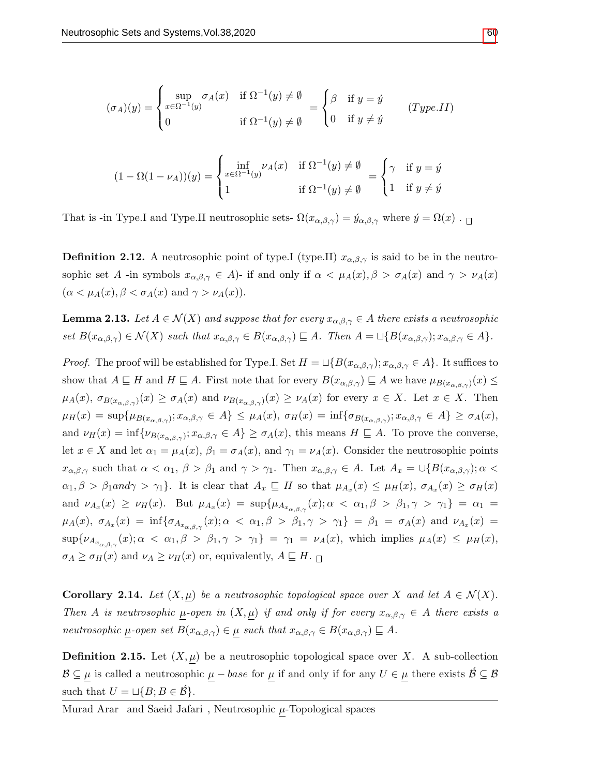$$
(\sigma_A)(y) = \begin{cases} \sup_{x \in \Omega^{-1}(y)} \sigma_A(x) & \text{if } \Omega^{-1}(y) \neq \emptyset \\ 0 & \text{if } \Omega^{-1}(y) \neq \emptyset \end{cases} = \begin{cases} \beta & \text{if } y = \circ y \\ 0 & \text{if } y \neq \circ y \end{cases} (Type.II)
$$

$$
(1 - \Omega(1 - \nu_A))(y) = \begin{cases} \inf_{x \in \Omega^{-1}(y)} \nu_A(x) & \text{if } \Omega^{-1}(y) \neq \emptyset \\ 1 & \text{if } \Omega^{-1}(y) \neq \emptyset \end{cases} = \begin{cases} \gamma & \text{if } y = \hat{y} \\ 1 & \text{if } y \neq \hat{y} \end{cases}
$$

That is -in Type.I and Type.II neutrosophic sets-  $\Omega(x_{\alpha,\beta,\gamma}) = \hat{y}_{\alpha,\beta,\gamma}$  where  $\hat{y} = \Omega(x)$ .

**Definition 2.12.** A neutrosophic point of type. (type. II)  $x_{\alpha,\beta,\gamma}$  is said to be in the neutrosophic set A -in symbols  $x_{\alpha,\beta,\gamma} \in A$ )- if and only if  $\alpha < \mu_A(x), \beta > \sigma_A(x)$  and  $\gamma > \nu_A(x)$  $(\alpha < \mu_A(x), \beta < \sigma_A(x) \text{ and } \gamma > \nu_A(x)).$ 

**Lemma 2.13.** Let  $A \in \mathcal{N}(X)$  and suppose that for every  $x_{\alpha,\beta,\gamma} \in A$  there exists a neutrosophic set  $B(x_{\alpha,\beta,\gamma}) \in \mathcal{N}(X)$  such that  $x_{\alpha,\beta,\gamma} \in B(x_{\alpha,\beta,\gamma}) \sqsubseteq A$ . Then  $A = \sqcup \{B(x_{\alpha,\beta,\gamma}); x_{\alpha,\beta,\gamma} \in A\}$ .

*Proof.* The proof will be established for Type.I. Set  $H = \bigcup \{B(x_{\alpha,\beta,\gamma}); x_{\alpha,\beta,\gamma} \in A\}$ . It suffices to show that  $A \sqsubseteq H$  and  $H \sqsubseteq A$ . First note that for every  $B(x_{\alpha,\beta,\gamma}) \sqsubseteq A$  we have  $\mu_{B(x_{\alpha,\beta,\gamma})}(x) \le$  $\mu_A(x), \sigma_{B(x_{\alpha,\beta,\gamma})}(x) \geq \sigma_A(x)$  and  $\nu_{B(x_{\alpha,\beta,\gamma})}(x) \geq \nu_A(x)$  for every  $x \in X$ . Let  $x \in X$ . Then  $\mu_H(x) = \sup \{ \mu_{B(x_{\alpha,\beta,\gamma})} : x_{\alpha,\beta,\gamma} \in A \} \leq \mu_A(x), \ \sigma_H(x) = \inf \{ \sigma_{B(x_{\alpha,\beta,\gamma})} : x_{\alpha,\beta,\gamma} \in A \} \geq \sigma_A(x),$ and  $\nu_H(x) = \inf \{ \nu_{B(x_{\alpha,\beta,\gamma})} : x_{\alpha,\beta,\gamma} \in A \} \ge \sigma_A(x)$ , this means  $H \sqsubseteq A$ . To prove the converse, let  $x \in X$  and let  $\alpha_1 = \mu_A(x)$ ,  $\beta_1 = \sigma_A(x)$ , and  $\gamma_1 = \nu_A(x)$ . Consider the neutrosophic points  $x_{\alpha,\beta,\gamma}$  such that  $\alpha < \alpha_1$ ,  $\beta > \beta_1$  and  $\gamma > \gamma_1$ . Then  $x_{\alpha,\beta,\gamma} \in A$ . Let  $A_x = \bigcup \{B(x_{\alpha,\beta,\gamma}); \alpha <$  $\alpha_1, \beta > \beta_1$  and  $\gamma > \gamma_1$ . It is clear that  $A_x \subseteq H$  so that  $\mu_{A_x}(x) \leq \mu_H(x), \sigma_{A_x}(x) \geq \sigma_H(x)$ and  $\nu_{A_x}(x) \ge \nu_H(x)$ . But  $\mu_{A_x}(x) = \sup \{ \mu_{A_{x_{\alpha,\beta,\gamma}}}(x) : \alpha < \alpha_1, \beta > \beta_1, \gamma > \gamma_1 \} = \alpha_1 =$  $\mu_A(x), \ \sigma_{A_x}(x) = \inf \{ \sigma_{A_{x_{\alpha,\beta,\gamma}}}(x); \alpha \ < \ \alpha_1, \beta \ > \ \beta_1, \gamma \ > \ \gamma_1 \} \ = \ \beta_1 \ = \ \sigma_A(x) \ \ \text{and} \ \ \nu_{A_x}(x) \ =$  $\sup\{\nu_{A_{x_{\alpha,\beta,\gamma}}}(x);\alpha\ <\alpha_1,\beta\ >\ \beta_1,\gamma\ >\ \gamma_1\} \ =\ \gamma_1\ =\ \nu_A(x),$  which implies  $\mu_A(x)\ \leq\ \mu_H(x),$  $\sigma_A \geq \sigma_H(x)$  and  $\nu_A \geq \nu_H(x)$  or, equivalently,  $A \sqsubseteq H$ .

<span id="page-9-0"></span>**Corollary 2.14.** Let  $(X, \mu)$  be a neutrosophic topological space over X and let  $A \in \mathcal{N}(X)$ . Then A is neutrosophic  $\mu$ -open in  $(X, \mu)$  if and only if for every  $x_{\alpha,\beta,\gamma} \in A$  there exists a neutrosophic  $\mu$ -open set  $B(x_{\alpha,\beta,\gamma}) \in \mu$  such that  $x_{\alpha,\beta,\gamma} \in B(x_{\alpha,\beta,\gamma}) \subseteq A$ .

**Definition 2.15.** Let  $(X, \mu)$  be a neutrosophic topological space over X. A sub-collection  $\mathcal{B} \subseteq \mu$  is called a neutrosophic  $\mu - base$  for  $\mu$  if and only if for any  $U \in \mu$  there exists  $\mathcal{B} \subseteq \mathcal{B}$ such that  $U = \sqcup \{B; B \in \mathcal{B}\}.$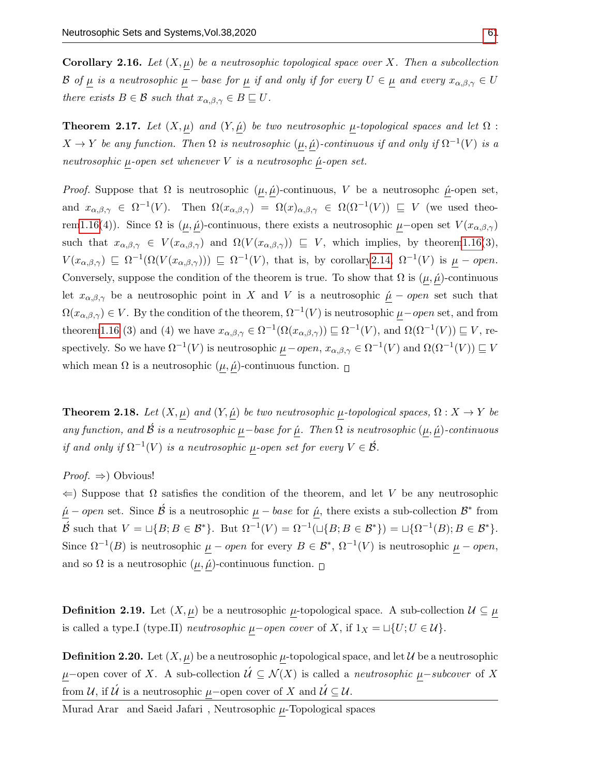**Corollary 2.16.** Let  $(X, \mu)$  be a neutrosophic topological space over X. Then a subcollection B of  $\mu$  is a neutrosophic  $\mu$  – base for  $\mu$  if and only if for every  $U \in \mu$  and every  $x_{\alpha,\beta,\gamma} \in U$ there exists  $B \in \mathcal{B}$  such that  $x_{\alpha,\beta,\gamma} \in B \sqsubseteq U$ .

**Theorem 2.17.** Let  $(X, \mu)$  and  $(Y, \mu)$  be two neutrosophic  $\mu$ -topological spaces and let  $\Omega$ :  $X \to Y$  be any function. Then  $\Omega$  is neutrosophic  $(\mu, \hat{\mu})$ -continuous if and only if  $\Omega^{-1}(V)$  is a neutrosophic  $\mu$ -open set whenever V is a neutrosophc  $\mu$ -open set.

*Proof.* Suppose that  $\Omega$  is neutrosophic  $(\mu, \hat{\mu})$ -continuous, V be a neutrosophc  $\hat{\mu}$ -open set, and  $x_{\alpha,\beta,\gamma} \in \Omega^{-1}(V)$ . Then  $\Omega(x_{\alpha,\beta,\gamma}) = \Omega(x)_{\alpha,\beta,\gamma} \in \Omega(\Omega^{-1}(V)) \subseteq V$  (we used theore[m1.16\(](#page-4-0)4)). Since  $\Omega$  is  $(\mu, \hat{\mu})$ -continuous, there exists a neutrosophic  $\mu$ –open set  $V(x_{\alpha,\beta,\gamma})$ such that  $x_{\alpha,\beta,\gamma} \in V(x_{\alpha,\beta,\gamma})$  and  $\Omega(V(x_{\alpha,\beta,\gamma})) \subseteq V$ , which implies, by theore[m1.16\(](#page-4-0)3),  $V(x_{\alpha,\beta,\gamma}) \subseteq \Omega^{-1}(\Omega(V(x_{\alpha,\beta,\gamma}))) \subseteq \Omega^{-1}(V)$ , that is, by corollary 2.14,  $\Omega^{-1}(V)$  is  $\mu$  – open. Conversely, suppose the condition of the theorem is true. To show that  $\Omega$  is  $(\mu, \hat{\mu})$ -continuous let  $x_{\alpha,\beta,\gamma}$  be a neutrosophic point in X and V is a neutrosophic  $\mu$  – open set such that  $\Omega(x_{\alpha,\beta,\gamma}) \in V$ . By the condition of the theorem,  $\Omega^{-1}(V)$  is neutrosophic  $\mu$ –open set, and from theore[m1.16](#page-4-0) (3) and (4) we have  $x_{\alpha,\beta,\gamma} \in \Omega^{-1}(\Omega(x_{\alpha,\beta,\gamma})) \sqsubseteq \Omega^{-1}(V)$ , and  $\Omega(\Omega^{-1}(V)) \sqsubseteq V$ , respectively. So we have  $\Omega^{-1}(V)$  is neutrosophic  $\mu$  – open,  $x_{\alpha,\beta,\gamma} \in \Omega^{-1}(V)$  and  $\Omega(\Omega^{-1}(V)) \sqsubseteq V$ which mean  $\Omega$  is a neutrosophic  $(\mu, \hat{\mu})$ -continuous function.  $\Box$ 

**Theorem 2.18.** Let  $(X, \mu)$  and  $(Y, \hat{\mu})$  be two neutrosophic  $\mu$ -topological spaces,  $\Omega: X \to Y$  be any function, and  $\beta$  is a neutrosophic  $\mu$ −base for  $\mu$ . Then  $\Omega$  is neutrosophic  $(\mu, \mu)$ -continuous if and only if  $\Omega^{-1}(V)$  is a neutrosophic  $\mu$ -open set for every  $V \in \acute{B}$ .

*Proof.*  $\Rightarrow$  Obvious!

 $\Leftarrow$ ) Suppose that  $\Omega$  satisfies the condition of the theorem, and let V be any neutrosophic  $\mu$  – open set. Since  $\acute{\mathcal{B}}$  is a neutrosophic  $\mu$  – base for  $\acute{\mu}$ , there exists a sub-collection  $\mathcal{B}^*$  from  $\cancel{B}$  such that  $V = \sqcup \{B; B \in \mathcal{B}^*\}$ . But  $\Omega^{-1}(V) = \Omega^{-1}(\sqcup \{B; B \in \mathcal{B}^*\}) = \sqcup \{\Omega^{-1}(B); B \in \mathcal{B}^*\}.$ Since  $\Omega^{-1}(B)$  is neutrosophic  $\mu - open$  for every  $B \in \mathcal{B}^*, \Omega^{-1}(V)$  is neutrosophic  $\mu - open$ , and so  $\Omega$  is a neutrosophic  $(\mu, \hat{\mu})$ -continuous function.  $\Box$ 

**Definition 2.19.** Let  $(X, \mu)$  be a neutrosophic  $\mu$ -topological space. A sub-collection  $\mathcal{U} \subseteq \mu$ is called a type.I (type.II) *neutrosophic*  $\mu$ −open cover of X, if  $1_X = \sqcup \{U; U \in \mathcal{U}\}.$ 

**Definition 2.20.** Let  $(X, \mu)$  be a neutrosophic  $\mu$ -topological space, and let  $\mathcal{U}$  be a neutrosophic  $\mu$ −open cover of X. A sub-collection  $\acute{\mathcal{U}} \subseteq \mathcal{N}(X)$  is called a *neutrosophic*  $\underline{\mu}$ −subcover of X from  $\mathcal{U}$ , if  $\mathcal{U}$  is a neutrosophic  $\underline{\mu}$ -open cover of X and  $\mathcal{U} \subseteq \mathcal{U}$ .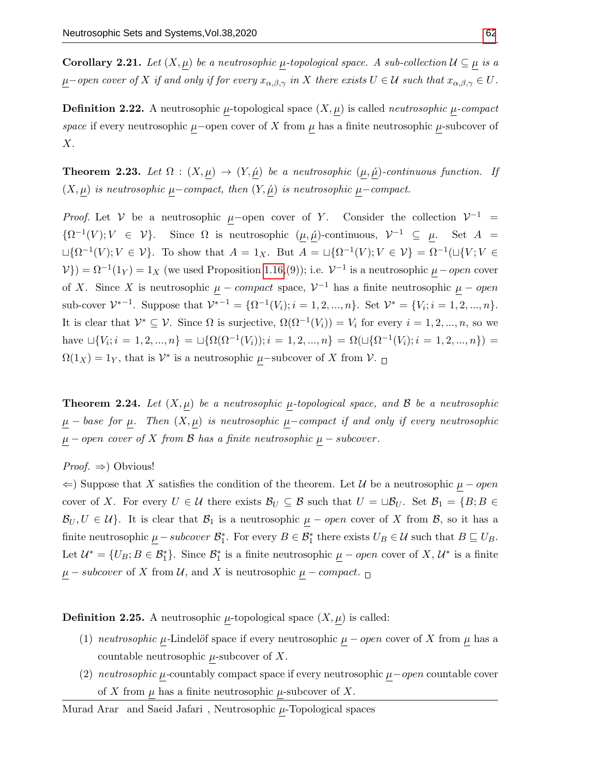**Corollary 2.21.** Let  $(X, \mu)$  be a neutrosophic  $\mu$ -topological space. A sub-collection  $\mathcal{U} \subseteq \mu$  is a  $\mu$ −open cover of X if and only if for every  $x_{\alpha,\beta,\gamma}$  in X there exists  $U \in \mathcal{U}$  such that  $x_{\alpha,\beta,\gamma} \in U$ .

**Definition 2.22.** A neutrosophic  $\mu$ -topological space  $(X, \mu)$  is called *neutrosophic*  $\mu$ -compact space if every neutrosophic  $\mu$ –open cover of X from  $\mu$  has a finite neutrosophic  $\mu$ -subcover of  $X$ .

**Theorem 2.23.** Let  $\Omega$  :  $(X, \mu) \to (Y, \hat{\mu})$  be a neutrosophic  $(\mu, \hat{\mu})$ -continuous function. If  $(X, \mu)$  is neutrosophic  $\mu$ –compact, then  $(Y, \hat{\mu})$  is neutrosophic  $\mu$ –compact.

*Proof.* Let V be a neutrosophic  $\mu$ -open cover of Y. Consider the collection  $V^{-1}$  =  $\{\Omega^{-1}(V); V \in \mathcal{V}\}\$ . Since  $\Omega$  is neutrosophic  $(\mu, \hat{\mu})$ -continuous,  $\mathcal{V}^{-1} \subseteq \mu$ . Set  $A =$  $\Box\{\Omega^{-1}(V); V \in \mathcal{V}\}\.$  To show that  $A = 1_X$ . But  $A = \Box\{\Omega^{-1}(V); V \in \mathcal{V}\}\ = \Omega^{-1}(\Box\{V; V \in \mathcal{V}\})$  $V$ }) =  $\Omega^{-1}(1_Y) = 1_X$  (we used Proposition [1.16,](#page-4-0)(9)); i.e.  $V^{-1}$  is a neutrosophic  $\mu$  – open cover of X. Since X is neutrosophic  $\mu$  – compact space,  $\mathcal{V}^{-1}$  has a finite neutrosophic  $\mu$  – open sub-cover  $\mathcal{V}^{*-1}$ . Suppose that  $\mathcal{V}^{*-1} = {\Omega^{-1}(V_i)}$ ;  $i = 1, 2, ..., n$ . Set  $\mathcal{V}^* = {V_i; i = 1, 2, ..., n}$ . It is clear that  $\mathcal{V}^* \subseteq \mathcal{V}$ . Since  $\Omega$  is surjective,  $\Omega(\Omega^{-1}(V_i)) = V_i$  for every  $i = 1, 2, ..., n$ , so we have  $\Box \{V_i; i = 1, 2, ..., n\} = \Box \{\Omega(\Omega^{-1}(V_i)); i = 1, 2, ..., n\} = \Omega(\Box \{\Omega^{-1}(V_i); i = 1, 2, ..., n\}) =$  $\Omega(1_X) = 1_Y$ , that is  $\mathcal{V}^*$  is a neutrosophic  $\mu$ -subcover of X from  $\mathcal{V}$ .

**Theorem 2.24.** Let  $(X, \mu)$  be a neutrosophic  $\mu$ -topological space, and  $\beta$  be a neutrosophic  $\mu$  − base for  $\mu$ . Then  $(X, \mu)$  is neutrosophic  $\mu$ –compact if and only if every neutrosophic  $\underline{\mu}$  – open cover of X from B has a finite neutrosophic  $\underline{\mu}$  – subcover.

*Proof.*  $\Rightarrow$  Obvious!

 $\Leftarrow$ ) Suppose that X satisfies the condition of the theorem. Let U be a neutrosophic  $\mu$  – open cover of X. For every  $U \in \mathcal{U}$  there exists  $\mathcal{B}_U \subseteq \mathcal{B}$  such that  $U = \sqcup \mathcal{B}_U$ . Set  $\mathcal{B}_1 = \{B; B \in \mathcal{B} \mid B \in \mathcal{B}\}$  $\mathcal{B}_U, U \in \mathcal{U}$ . It is clear that  $\mathcal{B}_1$  is a neutrosophic  $\mu$  – *open* cover of X from  $\mathcal{B}$ , so it has a finite neutrosophic  $\underline{\mu} - subcover \ \mathcal{B}_1^*$ . For every  $B \in \mathcal{B}_1^*$  there exists  $U_B \in \mathcal{U}$  such that  $B \sqsubseteq U_B$ . Let  $\mathcal{U}^* = \{U_B; B \in \mathcal{B}_1^*\}\.$  Since  $\mathcal{B}_1^*$  is a finite neutrosophic  $\underline{\mu}$  – open cover of X,  $\mathcal{U}^*$  is a finite  $\mu$  – subcover of X from U, and X is neutrosophic  $\mu$  – compact.  $\Box$ 

**Definition 2.25.** A neutrosophic  $\mu$ -topological space  $(X, \mu)$  is called:

- (1) neutrosophic  $\mu$ -Lindelöf space if every neutrosophic  $\mu$  open cover of X from  $\mu$  has a countable neutrosophic  $\mu$ -subcover of X.
- (2) neutrosophic  $\mu$ -countably compact space if every neutrosophic  $\mu$ -open countable cover of X from  $\mu$  has a finite neutrosophic  $\mu$ -subcover of X.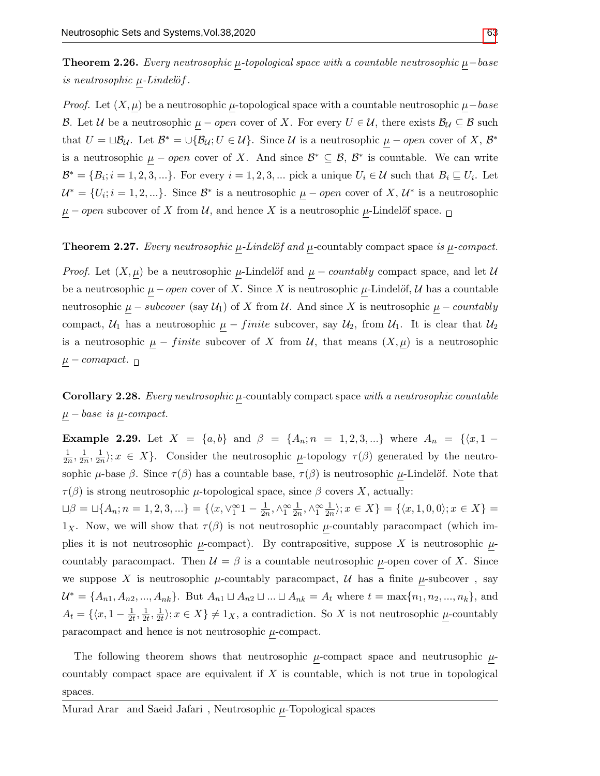**Theorem 2.26.** Every neutrosophic  $\mu$ -topological space with a countable neutrosophic  $\mu$ −base is neutrosophic  $\mu$ -Lindelöf.

*Proof.* Let  $(X, \mu)$  be a neutrosophic  $\mu$ -topological space with a countable neutrosophic  $\mu$ –base B. Let U be a neutrosophic  $\mu$  – open cover of X. For every  $U \in U$ , there exists  $\mathcal{B}_U \subseteq \mathcal{B}$  such that  $U = \Box \mathcal{B}_{\mathcal{U}}$ . Let  $\mathcal{B}^* = \bigcup \{\mathcal{B}_{\mathcal{U}}; U \in \mathcal{U}\}\$ . Since  $\mathcal{U}$  is a neutrosophic  $\mu$  – open cover of X,  $\mathcal{B}^*$ is a neutrosophic  $\mu$  – open cover of X. And since  $\mathcal{B}^* \subseteq \mathcal{B}, \mathcal{B}^*$  is countable. We can write  $\mathcal{B}^* = \{B_i; i = 1, 2, 3, ...\}$ . For every  $i = 1, 2, 3, ...$  pick a unique  $U_i \in \mathcal{U}$  such that  $B_i \sqsubseteq U_i$ . Let  $\mathcal{U}^* = \{U_i; i = 1, 2, ...\}$ . Since  $\mathcal{B}^*$  is a neutrosophic  $\mu$  – open cover of X,  $\mathcal{U}^*$  is a neutrosophic  $\mu$  – open subcover of X from U, and hence X is a neutrosophic  $\mu$ -Lindelöf space.  $\Box$ 

## **Theorem 2.27.** Every neutrosophic  $\mu$ -Lindelöf and  $\mu$ -countably compact space is  $\mu$ -compact.

*Proof.* Let  $(X, \mu)$  be a neutrosophic  $\mu$ -Lindelöf and  $\mu$  – *countably* compact space, and let  $\mathcal{U}$ be a neutrosophic  $\mu$  – *open* cover of X. Since X is neutrosophic  $\mu$ -Lindelöf, U has a countable neutrosophic  $\mu$  – subcover (say  $\mathcal{U}_1$ ) of X from  $\mathcal{U}$ . And since X is neutrosophic  $\mu$  – countably compact,  $U_1$  has a neutrosophic  $\mu$  – finite subcover, say  $U_2$ , from  $U_1$ . It is clear that  $U_2$ is a neutrosophic  $\mu$  – finite subcover of X from U, that means  $(X, \mu)$  is a neutrosophic  $\mu$  – comapact.  $\Box$ 

**Corollary 2.28.** Every neutrosophic  $\mu$ -countably compact space with a neutrosophic countable  $\mu - base$  is  $\mu$ -compact.

Example 2.29. Let  $X = \{a, b\}$  and  $\beta = \{A_n; n = 1, 2, 3, ...\}$  where  $A_n = \{(x, 1 -$ 1  $\frac{1}{2n}, \frac{1}{2n}$  $\frac{1}{2n}, \frac{1}{2n}$  $\frac{1}{2n}$ ;  $x \in X$ . Consider the neutrosophic  $\mu$ -topology  $\tau(\beta)$  generated by the neutrosophic  $\mu$ -base  $\beta$ . Since  $\tau(\beta)$  has a countable base,  $\tau(\beta)$  is neutrosophic  $\mu$ -Lindelöf. Note that  $\tau(\beta)$  is strong neutrosophic  $\mu$ -topological space, since  $\beta$  covers X, actually:

 $\Box \beta = \Box \{A_n; n = 1, 2, 3, ...\} = \{\langle x, \vee_1^{\infty} 1 - \frac{1}{2n}\rangle\}$  $\frac{1}{2n}, \wedge_1^{\infty} \frac{1}{2n}$  $\frac{1}{2n}, \wedge_1^{\infty} \frac{1}{2n}$  $\frac{1}{2n}$ ;  $x \in X$  = { $\langle x, 1, 0, 0 \rangle$ ;  $x \in X$ } = 1x. Now, we will show that  $\tau(\beta)$  is not neutrosophic  $\mu$ -countably paracompact (which implies it is not neutrosophic  $\mu$ -compact). By contrapositive, suppose X is neutrosophic  $\mu$ countably paracompact. Then  $\mathcal{U} = \beta$  is a countable neutrosophic  $\mu$ -open cover of X. Since we suppose X is neutrosophic  $\mu$ -countably paracompact, U has a finite  $\mu$ -subcover, say  $\mathcal{U}^* = \{A_{n1}, A_{n2}, ..., A_{nk}\}.$  But  $A_{n1} \sqcup A_{n2} \sqcup ... \sqcup A_{nk} = A_t$  where  $t = \max\{n_1, n_2, ..., n_k\},$  and  $A_t = \{\langle x, 1 - \frac{1}{2i}\rangle\}$  $\frac{1}{2t}, \frac{1}{2t}$  $\frac{1}{2t}, \frac{1}{2t}$  $\frac{1}{2t}$ ;  $x \in X$   $\neq 1_X$ , a contradiction. So X is not neutrosophic  $\mu$ -countably paracompact and hence is not neutrosophic  $\mu$ -compact.

The following theorem shows that neutrosophic  $\mu$ -compact space and neutrusophic  $\mu$ countably compact space are equivalent if  $X$  is countable, which is not true in topological spaces.

Murad Arar $\,$  and Saeid Jafari $\,$  , Neutrosophic  $\mu\text{-}\mathrm{Topological}\,$  spaces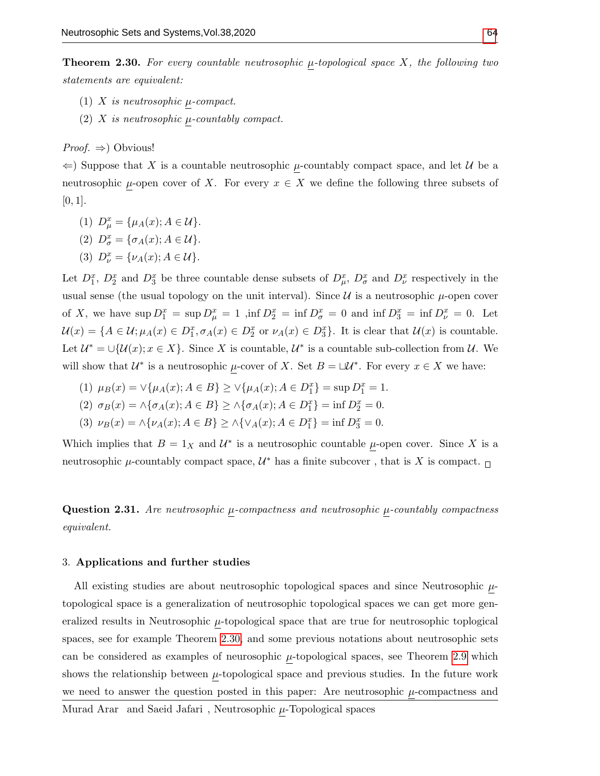<span id="page-13-0"></span>**Theorem 2.30.** For every countable neutrosophic  $\mu$ -topological space X, the following two statements are equivalent:

- (1)  $X$  is neutrosophic  $\mu$ -compact.
- (2)  $X$  is neutrosophic  $\mu$ -countably compact.

*Proof.*  $\Rightarrow$  Obvious!

 $\Leftarrow$ ) Suppose that X is a countable neutrosophic  $\mu$ -countably compact space, and let U be a neutrosophic  $\mu$ -open cover of X. For every  $x \in X$  we define the following three subsets of  $[0, 1]$ .

- (1)  $D_{\mu}^{x} = {\mu_A(x); A \in \mathcal{U}}.$
- (2)  $D^x_\sigma = {\sigma_A(x); A \in \mathcal{U}}.$
- (3)  $D_{\nu}^{x} = {\nu_{A}(x); A \in \mathcal{U}}.$

Let  $D_1^x$ ,  $D_2^x$  and  $D_3^x$  be three countable dense subsets of  $D_{\mu}^x$ ,  $D_{\sigma}^x$  and  $D_{\nu}^x$  respectively in the usual sense (the usual topology on the unit interval). Since  $\mathcal U$  is a neutrosophic  $\mu$ -open cover of X, we have  $\sup D_1^x = \sup D_\mu^x = 1$ ,  $\inf D_2^x = \inf D_\sigma^x = 0$  and  $\inf D_3^x = \inf D_\nu^x = 0$ . Let  $\mathcal{U}(x) = \{A \in \mathcal{U}; \mu_A(x) \in D_1^x, \sigma_A(x) \in D_2^x \text{ or } \nu_A(x) \in D_3^x\}.$  It is clear that  $\mathcal{U}(x)$  is countable. Let  $\mathcal{U}^* = \bigcup \{\mathcal{U}(x); x \in X\}$ . Since X is countable,  $\mathcal{U}^*$  is a countable sub-collection from  $\mathcal{U}$ . We will show that  $\mathcal{U}^*$  is a neutrosophic  $\mu$ -cover of X. Set  $B = \Box \mathcal{U}^*$ . For every  $x \in X$  we have:

- (1)  $\mu_B(x) = \vee {\mu_A(x); A \in B} \ge \vee {\mu_A(x); A \in D_1^x} = \sup D_1^x = 1.$
- (2)  $\sigma_B(x) = \land {\sigma_A(x); A \in B} \ge \land {\sigma_A(x); A \in D_1^x} = \inf D_2^x = 0.$
- (3)  $\nu_B(x) = \land {\nu_A(x); A \in B} \ge \land {\lor_A(x); A \in D_1^x} = \inf D_3^x = 0.$

Which implies that  $B = 1_X$  and  $\mathcal{U}^*$  is a neutrosophic countable  $\mu$ -open cover. Since X is a neutrosophic  $\mu$ -countably compact space,  $\mathcal{U}^*$  has a finite subcover, that is X is compact.

**Question 2.31.** Are neutrosophic  $\mu$ -compactness and neutrosophic  $\mu$ -countably compactness equivalent.

#### 3. Applications and further studies

All existing studies are about neutrosophic topological spaces and since Neutrosophic  $\mu$ topological space is a generalization of neutrosophic topological spaces we can get more generalized results in Neutrosophic  $\mu$ -topological space that are true for neutrosophic toplogical spaces, see for example Theorem [2.30,](#page-13-0) and some previous notations about neutrosophic sets can be considered as examples of neurosophic  $\mu$ -topological spaces, see Theorem [2.9](#page-8-0) which shows the relationship between  $\mu$ -topological space and previous studies. In the future work we need to answer the question posted in this paper: Are neutrosophic  $\mu$ -compactness and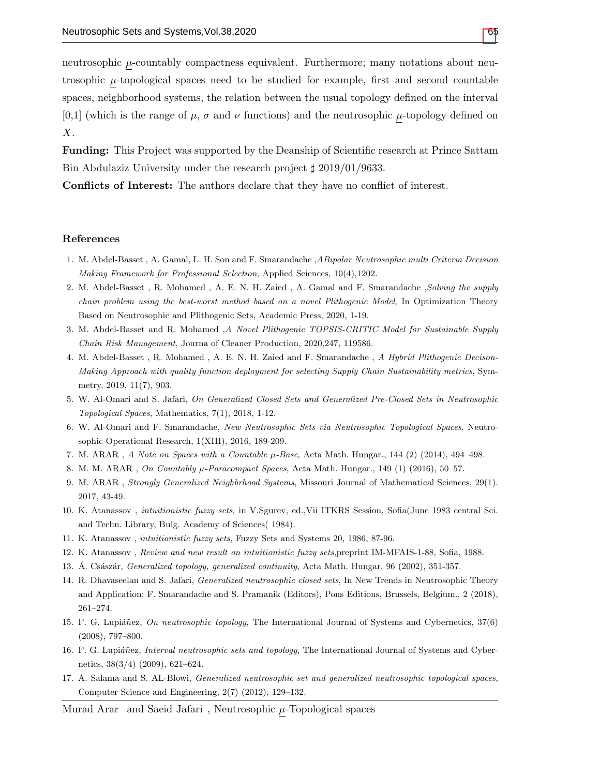neutrosophic  $\mu$ -countably compactness equivalent. Furthermore; many notations about neutrosophic  $\mu$ -topological spaces need to be studied for example, first and second countable spaces, neighborhood systems, the relation between the usual topology defined on the interval  $[0,1]$  (which is the range of  $\mu$ ,  $\sigma$  and  $\nu$  functions) and the neutrosophic  $\mu$ -topology defined on  $X$ .

Funding: This Project was supported by the Deanship of Scientific research at Prince Sattam Bin Abdulaziz University under the research project  $\frac{1}{2}$  2019/01/9633.

Conflicts of Interest: The authors declare that they have no conflict of interest.

## References

- <span id="page-14-5"></span>1. M. Abdel-Basset , A. Gamal, L. H. Son and F. Smarandache ,ABipolar Neutrosophic multi Criteria Decision Making Framework for Professional Selection, Applied Sciences, 10(4),1202.
- <span id="page-14-6"></span>2. M. Abdel-Basset , R. Mohamed , A. E. N. H. Zaied , A. Gamal and F. Smarandache ,Solving the supply chain problem using the best-worst method based on a novel Plithogenic Model, In Optimization Theory Based on Neutrosophic and Plithogenic Sets, Academic Press, 2020, 1-19.
- <span id="page-14-7"></span>3. M. Abdel-Basset and R. Mohamed ,A Novel Plithogenic TOPSIS-CRITIC Model for Sustainable Supply Chain Risk Management, Journa of Cleaner Production, 2020,247, 119586.
- <span id="page-14-8"></span>4. M. Abdel-Basset , R. Mohamed , A. E. N. H. Zaied and F. Smarandache , A Hybrid Plithogenic Decison-Making Approach with quality function deployment for selecting Supply Chain Sustainability metrics, Symmetry, 2019, 11(7), 903.
- <span id="page-14-9"></span>5. W. Al-Omari and S. Jafari, On Generalized Closed Sets and Generalized Pre-Closed Sets in Neutrosophic Topological Spaces, Mathematics, 7(1), 2018, 1-12.
- <span id="page-14-10"></span>6. W. Al-Omari and F. Smarandache, New Neutrosophic Sets via Neutrosophic Topological Spaces, Neutrosophic Operational Research, 1(XIII), 2016, 189-209.
- <span id="page-14-15"></span>7. M. ARAR , A Note on Spaces with a Countable µ-Base, Acta Math. Hungar., 144 (2) (2014), 494–498.
- <span id="page-14-13"></span>8. M. M. ARAR, On Countably  $\mu$ -Paracompact Spaces, Acta Math. Hungar., 149 (1) (2016), 50–57.
- <span id="page-14-14"></span>9. M. ARAR , Strongly Generalized Neighbrhood Systems, Missouri Journal of Mathematical Sciences, 29(1). 2017, 43-49.
- <span id="page-14-0"></span>10. K. Atanassov , intuitionistic fuzzy sets, in V.Sgurev, ed.,Vii ITKRS Session, Sofia(June 1983 central Sci. and Techn. Library, Bulg. Academy of Sciences( 1984).
- 11. K. Atanassov , intuitionistic fuzzy sets, Fuzzy Sets and Systems 20, 1986, 87-96.
- <span id="page-14-1"></span>12. K. Atanassov , Review and new result on intuitionistic fuzzy sets,preprint IM-MFAIS-1-88, Sofia, 1988.
- <span id="page-14-12"></span>13. A. Császár, *Generalized topology, generalized continuity*, Acta Math. Hungar, 96 (2002), 351-357.
- <span id="page-14-11"></span>14. R. Dhavaseelan and S. Jafari, Generalized neutrosophic closed sets, In New Trends in Neutrosophic Theory and Application; F. Smarandache and S. Pramanik (Editors), Pons Editions, Brussels, Belgium., 2 (2018), 261–274.
- <span id="page-14-2"></span>15. F. G. Lupiáñez, On neutrosophic topology, The International Journal of Systems and Cybernetics, 37(6) (2008), 797–800.
- <span id="page-14-3"></span>16. F. G. Lupiáñez, Interval neutrosophic sets and topology, The International Journal of Systems and Cybernetics, 38(3/4) (2009), 621–624.
- <span id="page-14-4"></span>17. A. Salama and S. AL-Blowi, Generalized neutrosophic set and generalized neutrosophic topological spaces, Computer Science and Engineering, 2(7) (2012), 129–132.